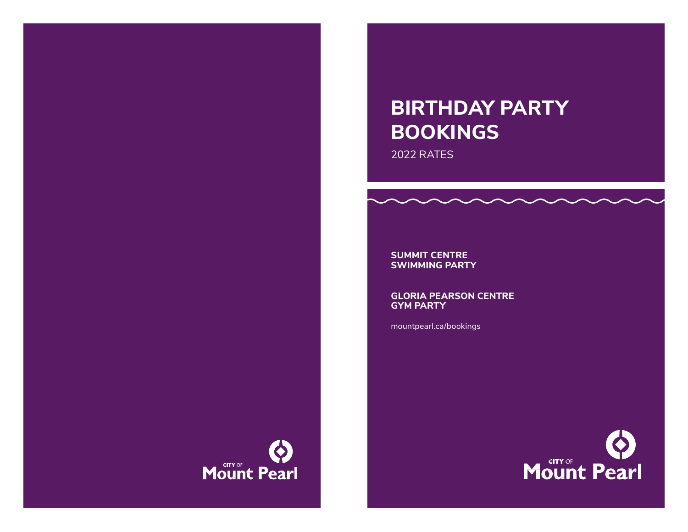# **BIRTHDAY PARTY BOOKINGS**

2022 RATES

**SUMMIT CENTRE SWIMMING PARTY**

**GLORIA PEARSON CENTRE GYM PARTY**

mountpearl.ca/bookings